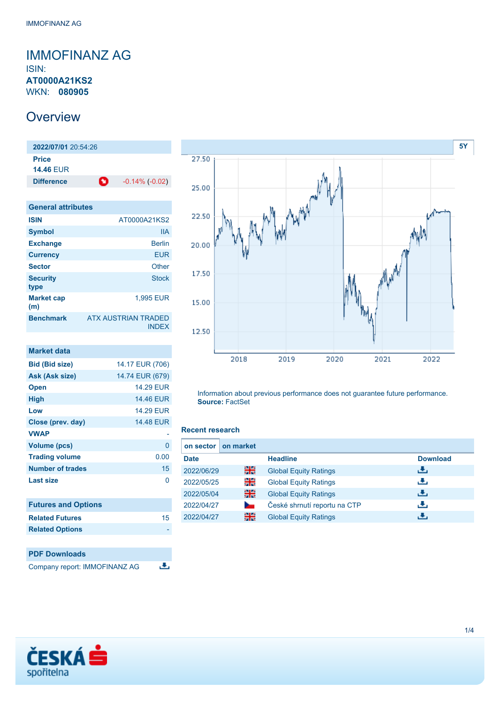## <span id="page-0-0"></span>IMMOFINANZ AG ISIN: **AT0000A21KS2** WKN: **080905**

## **Overview**

**2022/07/01** 20:54:26 **Price 14.46** EUR **Difference 1** -0.14% (-0.02)

| <b>General attributes</b> |                                            |
|---------------------------|--------------------------------------------|
| <b>ISIN</b>               | AT0000A21KS2                               |
| <b>Symbol</b>             | IIА                                        |
| <b>Exchange</b>           | <b>Berlin</b>                              |
| <b>Currency</b>           | <b>EUR</b>                                 |
| <b>Sector</b>             | Other                                      |
| <b>Security</b><br>type   | <b>Stock</b>                               |
| <b>Market cap</b><br>(m)  | 1.995 EUR                                  |
| <b>Benchmark</b>          | <b>ATX AUSTRIAN TRADED</b><br><b>INDFX</b> |

| <b>Market data</b>         |                  |
|----------------------------|------------------|
| <b>Bid (Bid size)</b>      | 14.17 EUR (706)  |
| Ask (Ask size)             | 14.74 EUR (679)  |
| <b>Open</b>                | <b>14.29 EUR</b> |
| <b>High</b>                | 14.46 EUR        |
| Low                        | <b>14.29 EUR</b> |
| Close (prev. day)          | 14.48 EUR        |
| <b>VWAP</b>                |                  |
| <b>Volume (pcs)</b>        | 0                |
| <b>Trading volume</b>      | 0.00             |
| <b>Number of trades</b>    | 15               |
| Last size                  | 0                |
| <b>Futures and Options</b> |                  |
| <b>Related Futures</b>     | 15               |
| <b>Related Options</b>     |                  |
|                            |                  |





Information about previous performance does not guarantee future performance. **Source:** FactSet

## **Recent research**

| on sector I | on market |                              |                 |
|-------------|-----------|------------------------------|-----------------|
| <b>Date</b> |           | <b>Headline</b>              | <b>Download</b> |
| 2022/06/29  | 을중        | <b>Global Equity Ratings</b> | æ,              |
| 2022/05/25  | 꾉뚢        | <b>Global Equity Ratings</b> | رنان            |
| 2022/05/04  | 을중        | <b>Global Equity Ratings</b> | æ,              |
| 2022/04/27  |           | České shrnutí reportu na CTP | æ,              |
| 2022/04/27  | 을중        | <b>Global Equity Ratings</b> | υ.              |

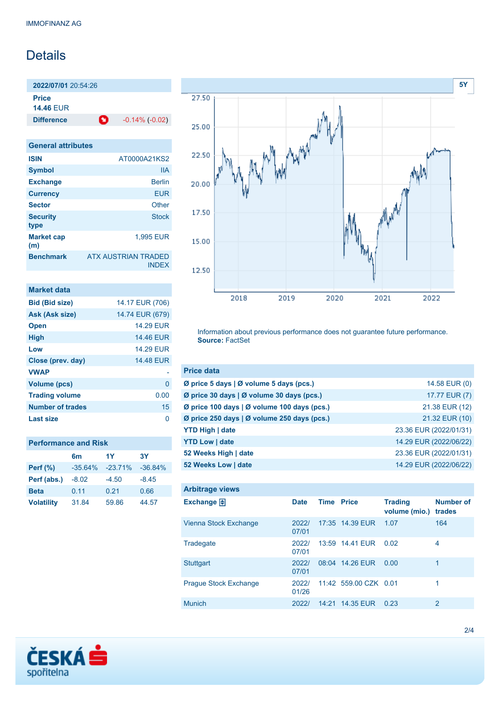# **Details**

**2022/07/01** 20:54:26 **Price 14.46** EUR

**Difference 1** -0.14% (-0.02)

| <b>General attributes</b> |                                            |
|---------------------------|--------------------------------------------|
| <b>ISIN</b>               | AT0000A21KS2                               |
| <b>Symbol</b>             | <b>IIA</b>                                 |
| <b>Exchange</b>           | <b>Berlin</b>                              |
| <b>Currency</b>           | <b>EUR</b>                                 |
| <b>Sector</b>             | Other                                      |
| <b>Security</b><br>type   | <b>Stock</b>                               |
| <b>Market cap</b><br>(m)  | 1.995 EUR                                  |
| <b>Benchmark</b>          | <b>ATX AUSTRIAN TRADED</b><br><b>INDFX</b> |

| <b>Market data</b>      |                  |
|-------------------------|------------------|
| <b>Bid (Bid size)</b>   | 14.17 EUR (706)  |
| Ask (Ask size)          | 14.74 EUR (679)  |
| <b>Open</b>             | <b>14.29 EUR</b> |
| <b>High</b>             | <b>14.46 EUR</b> |
| Low                     | <b>14.29 FUR</b> |
| Close (prev. day)       | <b>14.48 EUR</b> |
| <b>VWAP</b>             |                  |
| <b>Volume (pcs)</b>     | 0                |
| <b>Trading volume</b>   | 0.00             |
| <b>Number of trades</b> | 15               |
| Last size               |                  |

## **Performance and Risk**

|                   | 6 <sub>m</sub> | 1Y        | 3Υ        |
|-------------------|----------------|-----------|-----------|
| <b>Perf</b> (%)   | $-35.64%$      | $-23.71%$ | $-36.84%$ |
| Perf (abs.)       | $-8.02$        | $-4.50$   | $-8.45$   |
| <b>Beta</b>       | 0.11           | 0.21      | 0.66      |
| <b>Volatility</b> | 31.84          | 59.86     | 44.57     |



Information about previous performance does not guarantee future performance. **Source:** FactSet

| <b>Price data</b>                                         |                        |
|-----------------------------------------------------------|------------------------|
| $\emptyset$ price 5 days $\emptyset$ volume 5 days (pcs.) | 14.58 EUR (0)          |
| Ø price 30 days   Ø volume 30 days (pcs.)                 | 17.77 EUR (7)          |
| Ø price 100 days   Ø volume 100 days (pcs.)               | 21.38 EUR (12)         |
| Ø price 250 days   Ø volume 250 days (pcs.)               | 21.32 EUR (10)         |
| <b>YTD High   date</b>                                    | 23.36 EUR (2022/01/31) |
| <b>YTD Low   date</b>                                     | 14.29 EUR (2022/06/22) |
| 52 Weeks High   date                                      | 23.36 EUR (2022/01/31) |
| 52 Weeks Low   date                                       | 14.29 EUR (2022/06/22) |

| <b>Arbitrage views</b>       |                |                   |                       |                                 |                            |
|------------------------------|----------------|-------------------|-----------------------|---------------------------------|----------------------------|
| Exchange $\Box$              | <b>Date</b>    | <b>Time Price</b> |                       | <b>Trading</b><br>volume (mio.) | <b>Number of</b><br>trades |
| Vienna Stock Exchange        | 2022/<br>07/01 |                   | 17:35 14.39 EUR       | 1.07                            | 164                        |
| Tradegate                    | 2022/<br>07/01 |                   | 13:59 14.41 EUR       | 0.02                            | 4                          |
| <b>Stuttgart</b>             | 2022/<br>07/01 |                   | 08:04 14.26 EUR       | 0.00                            | 1                          |
| <b>Prague Stock Exchange</b> | 2022/<br>01/26 |                   | 11:42 559.00 CZK 0.01 |                                 | 1                          |
| <b>Munich</b>                | 2022/          | 14:21             | 14.35 EUR             | 0.23                            | 2                          |

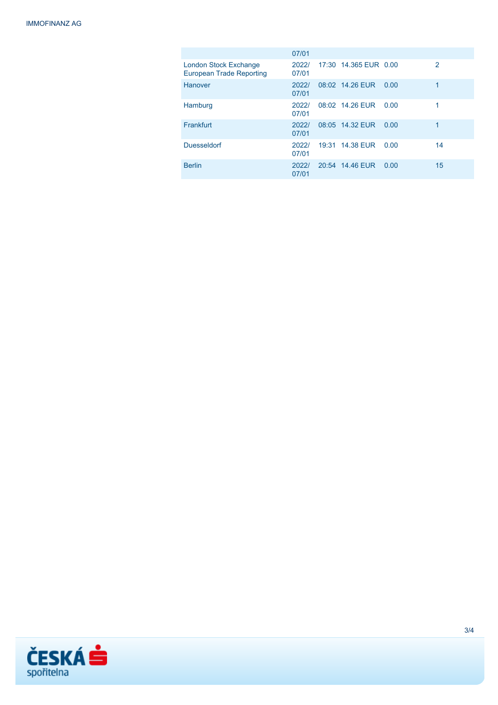|                                                                 | 07/01          |                       |      |    |
|-----------------------------------------------------------------|----------------|-----------------------|------|----|
| <b>London Stock Exchange</b><br><b>European Trade Reporting</b> | 2022/<br>07/01 | 17:30 14.365 EUR 0.00 |      | 2  |
| Hanover                                                         | 2022/<br>07/01 | 08:02 14.26 EUR       | 0.00 | 1  |
| Hamburg                                                         | 2022/<br>07/01 | 08:02 14.26 EUR       | 0.00 |    |
| Frankfurt                                                       | 2022/<br>07/01 | 08:05 14.32 EUR       | 0.00 | 1  |
| <b>Duesseldorf</b>                                              | 2022/<br>07/01 | 19:31 14.38 EUR       | 0.00 | 14 |
| <b>Berlin</b>                                                   | 2022/<br>07/01 | 20:54 14.46 EUR       | 0.00 | 15 |